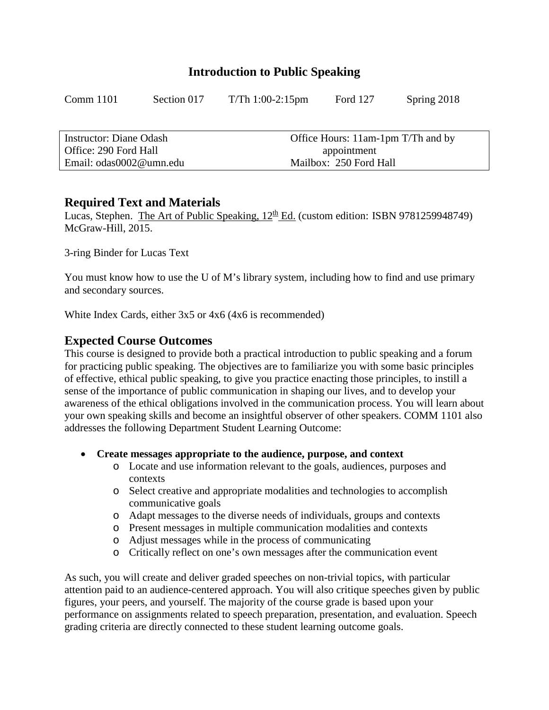## **Introduction to Public Speaking**

| Comm 1101 | Section 017 | $T/Th$ 1:00-2:15pm | Ford 127 | Spring 2018 |
|-----------|-------------|--------------------|----------|-------------|
|           |             |                    |          |             |

| Instructor: Diane Odash | Office Hours: 11am-1pm T/Th and by |
|-------------------------|------------------------------------|
| Office: 290 Ford Hall   | appointment                        |
| Email: odas0002@umn.edu | Mailbox: 250 Ford Hall             |

### **Required Text and Materials**

Lucas, Stephen. The Art of Public Speaking,  $12^{th}$  Ed. (custom edition: ISBN 9781259948749) McGraw-Hill, 2015.

3-ring Binder for Lucas Text

You must know how to use the U of M's library system, including how to find and use primary and secondary sources.

White Index Cards, either 3x5 or 4x6 (4x6 is recommended)

## **Expected Course Outcomes**

This course is designed to provide both a practical introduction to public speaking and a forum for practicing public speaking. The objectives are to familiarize you with some basic principles of effective, ethical public speaking, to give you practice enacting those principles, to instill a sense of the importance of public communication in shaping our lives, and to develop your awareness of the ethical obligations involved in the communication process. You will learn about your own speaking skills and become an insightful observer of other speakers. COMM 1101 also addresses the following Department Student Learning Outcome:

- **Create messages appropriate to the audience, purpose, and context**
	- o Locate and use information relevant to the goals, audiences, purposes and contexts
	- o Select creative and appropriate modalities and technologies to accomplish communicative goals
	- o Adapt messages to the diverse needs of individuals, groups and contexts
	- o Present messages in multiple communication modalities and contexts
	- o Adjust messages while in the process of communicating
	- o Critically reflect on one's own messages after the communication event

As such, you will create and deliver graded speeches on non-trivial topics, with particular attention paid to an audience-centered approach. You will also critique speeches given by public figures, your peers, and yourself. The majority of the course grade is based upon your performance on assignments related to speech preparation, presentation, and evaluation. Speech grading criteria are directly connected to these student learning outcome goals.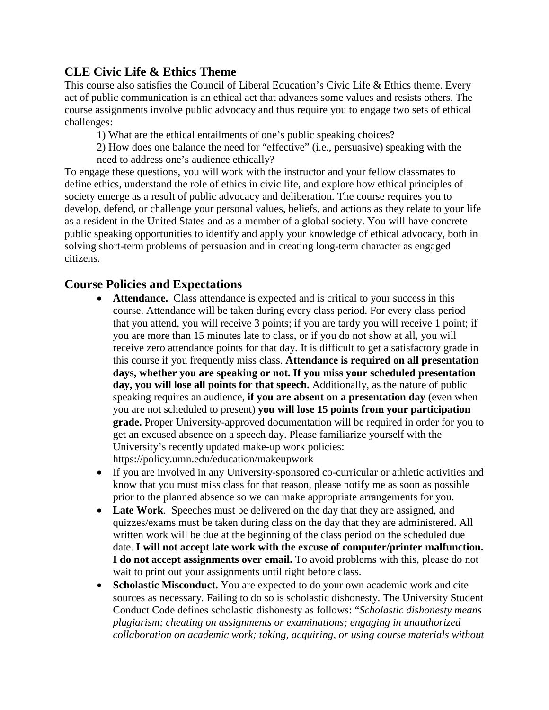# **CLE Civic Life & Ethics Theme**

This course also satisfies the Council of Liberal Education's Civic Life & Ethics theme. Every act of public communication is an ethical act that advances some values and resists others. The course assignments involve public advocacy and thus require you to engage two sets of ethical challenges:

1) What are the ethical entailments of one's public speaking choices?

2) How does one balance the need for "effective" (i.e., persuasive) speaking with the need to address one's audience ethically?

To engage these questions, you will work with the instructor and your fellow classmates to define ethics, understand the role of ethics in civic life, and explore how ethical principles of society emerge as a result of public advocacy and deliberation. The course requires you to develop, defend, or challenge your personal values, beliefs, and actions as they relate to your life as a resident in the United States and as a member of a global society. You will have concrete public speaking opportunities to identify and apply your knowledge of ethical advocacy, both in solving short-term problems of persuasion and in creating long-term character as engaged citizens.

# **Course Policies and Expectations**

- **Attendance.** Class attendance is expected and is critical to your success in this course. Attendance will be taken during every class period. For every class period that you attend, you will receive 3 points; if you are tardy you will receive 1 point; if you are more than 15 minutes late to class, or if you do not show at all, you will receive zero attendance points for that day. It is difficult to get a satisfactory grade in this course if you frequently miss class. **Attendance is required on all presentation days, whether you are speaking or not. If you miss your scheduled presentation day, you will lose all points for that speech.** Additionally, as the nature of public speaking requires an audience, **if you are absent on a presentation day** (even when you are not scheduled to present) **you will lose 15 points from your participation grade.** Proper University-approved documentation will be required in order for you to get an excused absence on a speech day. Please familiarize yourself with the University's recently updated make-up work policies: <https://policy.umn.edu/education/makeupwork>
- If you are involved in any University-sponsored co-curricular or athletic activities and know that you must miss class for that reason, please notify me as soon as possible prior to the planned absence so we can make appropriate arrangements for you.
- **Late Work**. Speeches must be delivered on the day that they are assigned, and quizzes/exams must be taken during class on the day that they are administered. All written work will be due at the beginning of the class period on the scheduled due date. **I will not accept late work with the excuse of computer/printer malfunction. I do not accept assignments over email.** To avoid problems with this, please do not wait to print out your assignments until right before class.
- **Scholastic Misconduct.** You are expected to do your own academic work and cite sources as necessary. Failing to do so is scholastic dishonesty. The University Student Conduct Code defines scholastic dishonesty as follows: "*Scholastic dishonesty means plagiarism; cheating on assignments or examinations; engaging in unauthorized collaboration on academic work; taking, acquiring, or using course materials without*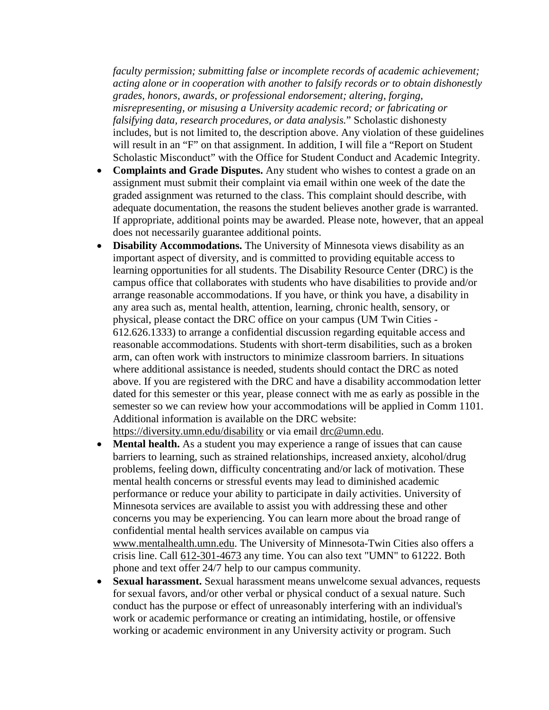*faculty permission; submitting false or incomplete records of academic achievement; acting alone or in cooperation with another to falsify records or to obtain dishonestly grades, honors, awards, or professional endorsement; altering, forging, misrepresenting, or misusing a University academic record; or fabricating or falsifying data, research procedures, or data analysis.*" Scholastic dishonesty includes, but is not limited to, the description above. Any violation of these guidelines will result in an "F" on that assignment. In addition, I will file a "Report on Student" Scholastic Misconduct" with the Office for Student Conduct and Academic Integrity.

- **Complaints and Grade Disputes.** Any student who wishes to contest a grade on an assignment must submit their complaint via email within one week of the date the graded assignment was returned to the class. This complaint should describe, with adequate documentation, the reasons the student believes another grade is warranted. If appropriate, additional points may be awarded. Please note, however, that an appeal does not necessarily guarantee additional points.
- **Disability Accommodations.** The University of Minnesota views disability as an important aspect of diversity, and is committed to providing equitable access to learning opportunities for all students. The Disability Resource Center (DRC) is the campus office that collaborates with students who have disabilities to provide and/or arrange reasonable accommodations. If you have, or think you have, a disability in any area such as, mental health, attention, learning, chronic health, sensory, or physical, please contact the DRC office on your campus (UM Twin Cities - 612.626.1333) to arrange a confidential discussion regarding equitable access and reasonable accommodations. Students with short-term disabilities, such as a broken arm, can often work with instructors to minimize classroom barriers. In situations where additional assistance is needed, students should contact the DRC as noted above. If you are registered with the DRC and have a disability accommodation letter dated for this semester or this year, please connect with me as early as possible in the semester so we can review how your accommodations will be applied in Comm 1101. Additional information is available on the DRC website:

<https://diversity.umn.edu/disability> or via email [drc@umn.edu.](mailto:drc@umn.edu)

- **Mental health.** As a student you may experience a range of issues that can cause barriers to learning, such as strained relationships, increased anxiety, alcohol/drug problems, feeling down, difficulty concentrating and/or lack of motivation. These mental health concerns or stressful events may lead to diminished academic performance or reduce your ability to participate in daily activities. University of Minnesota services are available to assist you with addressing these and other concerns you may be experiencing. You can learn more about the broad range of confidential mental health services available on campus via [www.mentalhealth.umn.edu.](http://www.mentalhealth.umn.edu/) The University of Minnesota-Twin Cities also offers a crisis line. Call [612-301-4673](tel:%28612%29%20301-4673) any time. You can also text "UMN" to 61222. Both phone and text offer 24/7 help to our campus community.
- **Sexual harassment.** Sexual harassment means unwelcome sexual advances, requests for sexual favors, and/or other verbal or physical conduct of a sexual nature. Such conduct has the purpose or effect of unreasonably interfering with an individual's work or academic performance or creating an intimidating, hostile, or offensive working or academic environment in any University activity or program. Such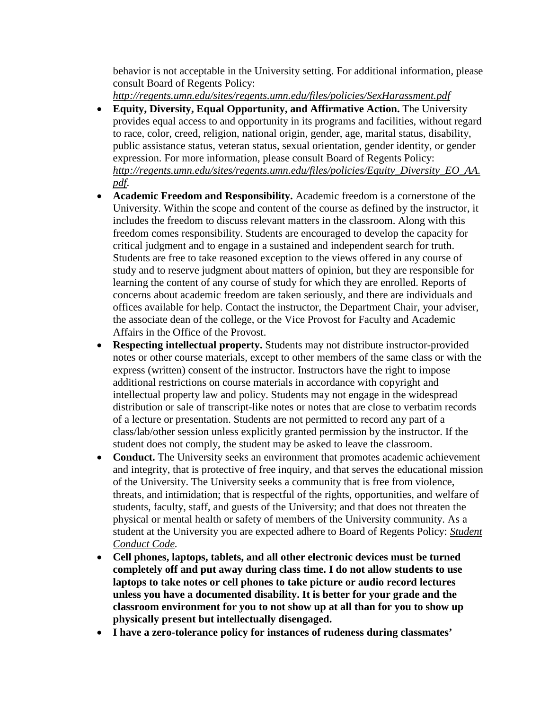behavior is not acceptable in the University setting. For additional information, please consult Board of Regents Policy:

*<http://regents.umn.edu/sites/regents.umn.edu/files/policies/SexHarassment.pdf>*

- **Equity, Diversity, Equal Opportunity, and Affirmative Action.** The University provides equal access to and opportunity in its programs and facilities, without regard to race, color, creed, religion, national origin, gender, age, marital status, disability, public assistance status, veteran status, sexual orientation, gender identity, or gender expression. For more information, please consult Board of Regents Policy: *[http://regents.umn.edu/sites/regents.umn.edu/files/policies/Equity\\_Diversity\\_EO\\_AA.](http://regents.umn.edu/sites/regents.umn.edu/files/policies/Equity_Diversity_EO_AA.pdf) [pdf](http://regents.umn.edu/sites/regents.umn.edu/files/policies/Equity_Diversity_EO_AA.pdf)*.
- **Academic Freedom and Responsibility.** Academic freedom is a cornerstone of the University. Within the scope and content of the course as defined by the instructor, it includes the freedom to discuss relevant matters in the classroom. Along with this freedom comes responsibility. Students are encouraged to develop the capacity for critical judgment and to engage in a sustained and independent search for truth. Students are free to take reasoned exception to the views offered in any course of study and to reserve judgment about matters of opinion, but they are responsible for learning the content of any course of study for which they are enrolled. Reports of concerns about academic freedom are taken seriously, and there are individuals and offices available for help. Contact the instructor, the Department Chair, your adviser, the associate dean of the college, or the Vice Provost for Faculty and Academic Affairs in the Office of the Provost.
- **Respecting intellectual property.** Students may not distribute instructor-provided notes or other course materials, except to other members of the same class or with the express (written) consent of the instructor. Instructors have the right to impose additional restrictions on course materials in accordance with copyright and intellectual property law and policy. Students may not engage in the widespread distribution or sale of transcript-like notes or notes that are close to verbatim records of a lecture or presentation. Students are not permitted to record any part of a class/lab/other session unless explicitly granted permission by the instructor. If the student does not comply, the student may be asked to leave the classroom.
- **Conduct.** The University seeks an environment that promotes academic achievement and integrity, that is protective of free inquiry, and that serves the educational mission of the University. The University seeks a community that is free from violence, threats, and intimidation; that is respectful of the rights, opportunities, and welfare of students, faculty, staff, and guests of the University; and that does not threaten the physical or mental health or safety of members of the University community. As a student at the University you are expected adhere to Board of Regents Policy: *[Student](http://regents.umn.edu/sites/default/files/policies/Student_Conduct_Code.pdf)  [Conduct Code.](http://regents.umn.edu/sites/default/files/policies/Student_Conduct_Code.pdf)*
- **Cell phones, laptops, tablets, and all other electronic devices must be turned completely off and put away during class time. I do not allow students to use laptops to take notes or cell phones to take picture or audio record lectures unless you have a documented disability. It is better for your grade and the classroom environment for you to not show up at all than for you to show up physically present but intellectually disengaged.**
- **I have a zero-tolerance policy for instances of rudeness during classmates'**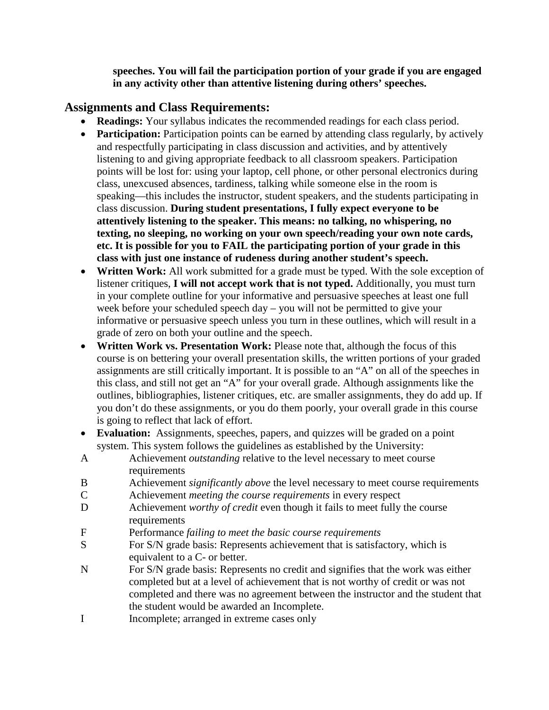**speeches. You will fail the participation portion of your grade if you are engaged in any activity other than attentive listening during others' speeches.**

## **Assignments and Class Requirements:**

- **Readings:** Your syllabus indicates the recommended readings for each class period.
- **Participation:** Participation points can be earned by attending class regularly, by actively and respectfully participating in class discussion and activities, and by attentively listening to and giving appropriate feedback to all classroom speakers. Participation points will be lost for: using your laptop, cell phone, or other personal electronics during class, unexcused absences, tardiness, talking while someone else in the room is speaking—this includes the instructor, student speakers, and the students participating in class discussion. **During student presentations, I fully expect everyone to be attentively listening to the speaker. This means: no talking, no whispering, no texting, no sleeping, no working on your own speech/reading your own note cards, etc. It is possible for you to FAIL the participating portion of your grade in this class with just one instance of rudeness during another student's speech.**
- **Written Work:** All work submitted for a grade must be typed. With the sole exception of listener critiques, **I will not accept work that is not typed.** Additionally, you must turn in your complete outline for your informative and persuasive speeches at least one full week before your scheduled speech day – you will not be permitted to give your informative or persuasive speech unless you turn in these outlines, which will result in a grade of zero on both your outline and the speech.
- **Written Work vs. Presentation Work:** Please note that, although the focus of this course is on bettering your overall presentation skills, the written portions of your graded assignments are still critically important. It is possible to an "A" on all of the speeches in this class, and still not get an "A" for your overall grade. Although assignments like the outlines, bibliographies, listener critiques, etc. are smaller assignments, they do add up. If you don't do these assignments, or you do them poorly, your overall grade in this course is going to reflect that lack of effort.
- **Evaluation:** Assignments, speeches, papers, and quizzes will be graded on a point system. This system follows the guidelines as established by the University:
- A Achievement *outstanding* relative to the level necessary to meet course requirements
- B Achievement *significantly above* the level necessary to meet course requirements
- C Achievement *meeting the course requirements* in every respect
- D Achievement *worthy of credit* even though it fails to meet fully the course requirements
- F Performance *failing to meet the basic course requirements*
- S For S/N grade basis: Represents achievement that is satisfactory, which is equivalent to a C- or better.
- N For S/N grade basis: Represents no credit and signifies that the work was either completed but at a level of achievement that is not worthy of credit or was not completed and there was no agreement between the instructor and the student that the student would be awarded an Incomplete.
- I Incomplete; arranged in extreme cases only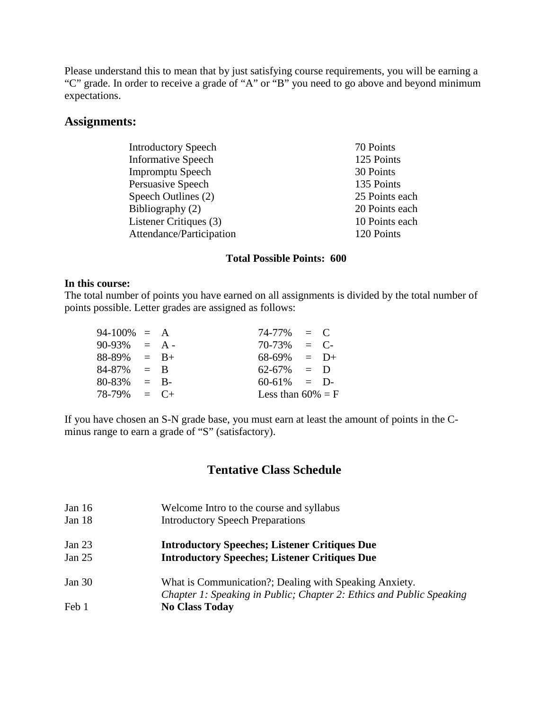Please understand this to mean that by just satisfying course requirements, you will be earning a "C" grade. In order to receive a grade of "A" or "B" you need to go above and beyond minimum expectations.

### **Assignments:**

| <b>Introductory Speech</b> | 70 Points      |
|----------------------------|----------------|
| <b>Informative Speech</b>  | 125 Points     |
| <b>Impromptu Speech</b>    | 30 Points      |
| Persuasive Speech          | 135 Points     |
| Speech Outlines (2)        | 25 Points each |
| Bibliography (2)           | 20 Points each |
| Listener Critiques (3)     | 10 Points each |
| Attendance/Participation   | 120 Points     |
|                            |                |

#### **Total Possible Points: 600**

#### **In this course:**

The total number of points you have earned on all assignments is divided by the total number of points possible. Letter grades are assigned as follows:

| $94-100\% = A$  |       |        | $74-77\% = C$        |        |  |
|-----------------|-------|--------|----------------------|--------|--|
| $90-93\% = A -$ |       |        | 70-73%               | $=$ C- |  |
| $88-89\% = B+$  |       |        | $68-69\% = D+$       |        |  |
| 84-87%          | $=$ B |        | $62-67\% = D$        |        |  |
| 80-83%          |       | $=$ B- | $60-61\% = D$        |        |  |
| $78-79\% = C+$  |       |        | Less than $60\% = F$ |        |  |

If you have chosen an S-N grade base, you must earn at least the amount of points in the Cminus range to earn a grade of "S" (satisfactory).

## **Tentative Class Schedule**

- Jan 16 Welcome Intro to the course and syllabus
- Jan 18 Introductory Speech Preparations

### Jan 23 **Introductory Speeches; Listener Critiques Due** Jan 25 **Introductory Speeches; Listener Critiques Due**

Jan 30 What is Communication?; Dealing with Speaking Anxiety. *Chapter 1: Speaking in Public; Chapter 2: Ethics and Public Speaking* Feb 1 **No Class Today**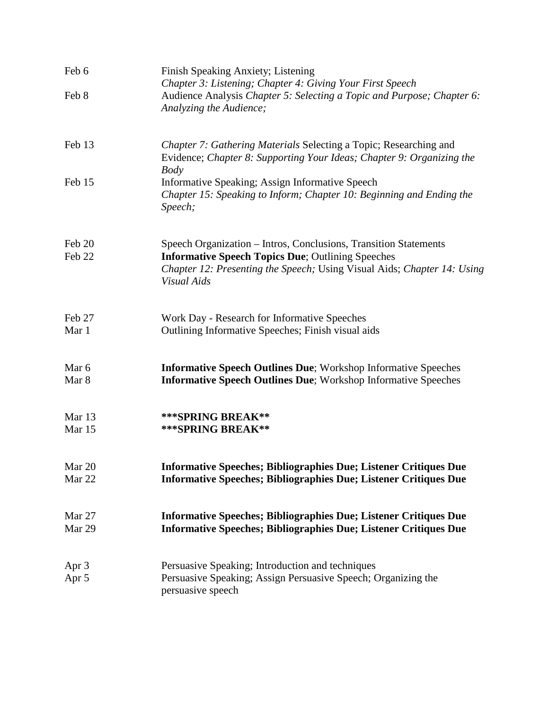| Feb 6            | Finish Speaking Anxiety; Listening<br>Chapter 3: Listening; Chapter 4: Giving Your First Speech                                                                                                                                |
|------------------|--------------------------------------------------------------------------------------------------------------------------------------------------------------------------------------------------------------------------------|
| Feb 8            | Audience Analysis Chapter 5: Selecting a Topic and Purpose; Chapter 6:<br>Analyzing the Audience;                                                                                                                              |
| Feb 13           | Chapter 7: Gathering Materials Selecting a Topic; Researching and<br>Evidence; Chapter 8: Supporting Your Ideas; Chapter 9: Organizing the<br><b>Body</b>                                                                      |
| Feb 15           | Informative Speaking; Assign Informative Speech<br>Chapter 15: Speaking to Inform; Chapter 10: Beginning and Ending the<br>Speech;                                                                                             |
| Feb 20<br>Feb 22 | Speech Organization - Intros, Conclusions, Transition Statements<br><b>Informative Speech Topics Due</b> ; Outlining Speeches<br>Chapter 12: Presenting the Speech; Using Visual Aids; Chapter 14: Using<br><b>Visual Aids</b> |
| Feb 27<br>Mar 1  | Work Day - Research for Informative Speeches<br>Outlining Informative Speeches; Finish visual aids                                                                                                                             |
| Mar 6<br>Mar 8   | <b>Informative Speech Outlines Due</b> ; Workshop Informative Speeches<br><b>Informative Speech Outlines Due</b> ; Workshop Informative Speeches                                                                               |
| Mar 13<br>Mar 15 | *** SPRING BREAK**<br>*** SPRING BREAK**                                                                                                                                                                                       |
| Mar 20<br>Mar 22 | <b>Informative Speeches; Bibliographies Due; Listener Critiques Due</b><br><b>Informative Speeches; Bibliographies Due; Listener Critiques Due</b>                                                                             |
| Mar 27<br>Mar 29 | <b>Informative Speeches; Bibliographies Due; Listener Critiques Due</b><br><b>Informative Speeches; Bibliographies Due; Listener Critiques Due</b>                                                                             |
| Apr 3<br>Apr 5   | Persuasive Speaking; Introduction and techniques<br>Persuasive Speaking; Assign Persuasive Speech; Organizing the<br>persuasive speech                                                                                         |